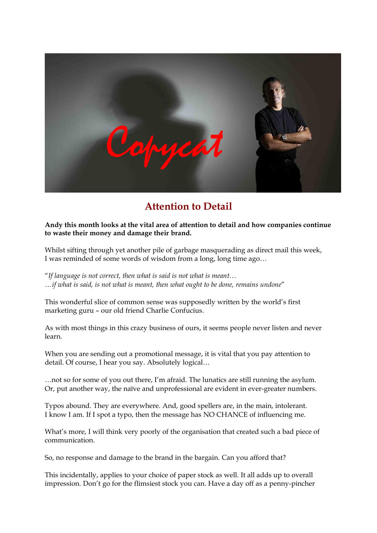

# **Attention to Detail**

## **Andy this month looks at the vital area of attention to detail and how companies continue to waste their money and damage their brand.**

Whilst sifting through yet another pile of garbage masquerading as direct mail this week, I was reminded of some words of wisdom from a long, long time ago…

"If language is not correct, then what is said is not what is meant...<br>...if what is said, is not what is meant, then what ought to be done, remains undone"

This wonderful slice of common sense was supposedly written by the world's first marketing guru – our old friend Charlie Confucius.

As with most things in this crazy business of ours, it seems people never listen and never learn.

When you are sending out a promotional message, it is vital that you pay attention to detail. Of course, I hear you say. Absolutely logical...<br>…not so for some of you out there, I'm afraid. The lunatics are still running the asylum.

Or, put another way, the naïve and unprofessional are evident in ever-greater numbers.

Typos abound. They are everywhere. And, good spellers are, in the main, intolerant. I know I am. If I spot a typo, then the message has NO CHANCE of influencing me.

What's more, I will think very poorly of the organisation that created such a bad piece of communication.

So, no response and damage to the brand in the bargain. Can you afford that?

This incidentally, applies to your choice of paper stock as well. It all adds up to overall impression. Don't go for the flimsiest stock you can. Have a day off as a penny-pincher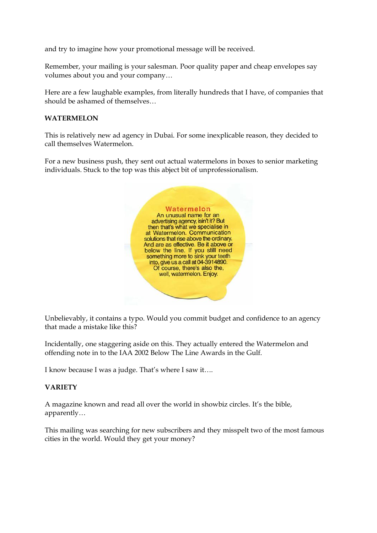and try to imagine how your promotional message will be received.

Remember, your mailing is your salesman. Poor quality paper and cheap envelopes say

volumes about you and your company...<br>Here are a few laughable examples, from literally hundreds that I have, of companies that should be ashamed of themselves…

## **WATERMELON**

This is relatively new ad agency in Dubai. For some inexplicable reason, they decided to call themselves Watermelon.

For a new business push, they sent out actual watermelons in boxes to senior marketing individuals. Stuck to the top was this abject bit of unprofessionalism.



Unbelievably, it contains a typo. Would you commit budget and confidence to an agency that made a mistake like this?

Incidentally, one staggering aside on this. They actually entered the Watermelon and offending note in to the IAA 2002 Below The Line Awards in the Gulf.

I know because I was a judge. That's where I saw it….

# **VARIETY**

A magazine known and read all over the world in showbiz circles. It's the bible, apparently…

This mailing was searching for new subscribers and they misspelt two of the most famous cities in the world. Would they get your money?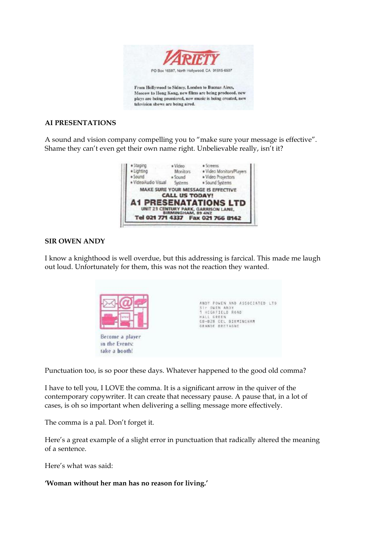

#### **AI PRESENTATIONS**

A sound and vision company compelling you to "make sure your message is effective". Shame they can't even get their own name right. Unbelievable really, isn't it?



# **SIR OWEN ANDY**

I know a knighthood is well overdue, but this addressing is farcical. This made me laugh out loud. Unfortunately for them, this was not the reaction they wanted.



Punctuation too, is so poor these days. Whatever happened to the good old comma?

I have to tell you, I LOVE the comma. It is a significant arrow in the quiver of the contemporary copywriter. It can create that necessary pause. A pause that, in a lot of cases, is oh so important when delivering a selling message more effectively.

The comma is a pal. Don't forget it.

Here's a great example of a slight error in punctuation that radically altered the meaning of a sentence.

Here's what was said:

**'Woman without her man has no reason for living.'**